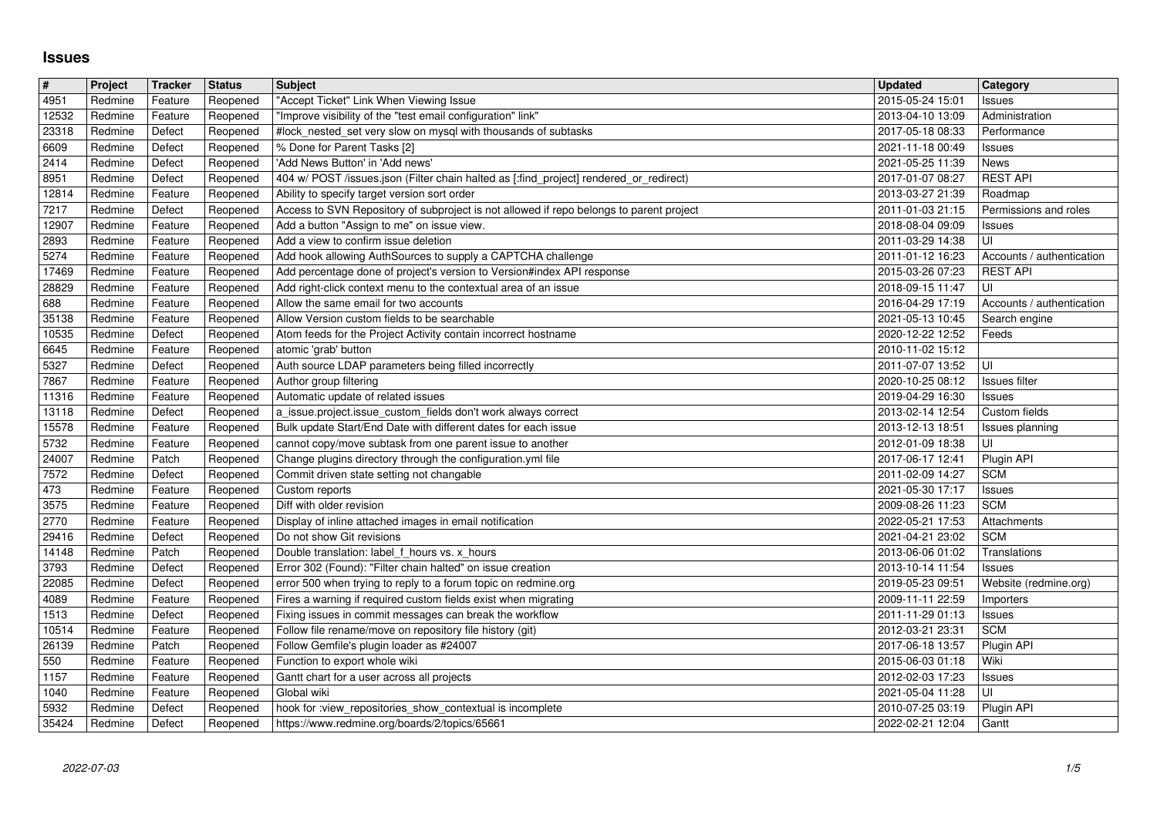## **Issues**

| $\#$           | Project            | Tracker            | <b>Status</b>        | <b>Subject</b>                                                                                                                  | <b>Updated</b>                       | <b>Category</b>                  |
|----------------|--------------------|--------------------|----------------------|---------------------------------------------------------------------------------------------------------------------------------|--------------------------------------|----------------------------------|
| 4951           | Redmine            | Feature            | Reopened             | "Accept Ticket" Link When Viewing Issue                                                                                         | 2015-05-24 15:01                     | Issues                           |
| 12532          | Redmine            | Feature            | Reopened             | "Improve visibility of the "test email configuration" link"                                                                     | 2013-04-10 13:09                     | Administration                   |
| 23318          | Redmine            | Defect             | Reopened             | #lock_nested_set very slow on mysql with thousands of subtasks                                                                  | 2017-05-18 08:33                     | Performance                      |
| 6609           | Redmine            | Defect             | Reopened             | % Done for Parent Tasks [2]                                                                                                     | 2021-11-18 00:49                     | Issues                           |
| 2414           | Redmine            | Defect             | Reopened             | 'Add News Button' in 'Add news'                                                                                                 | 2021-05-25 11:39                     | News                             |
| 8951           | Redmine            | Defect             | Reopened             | 404 w/ POST /issues.json (Filter chain halted as [:find_project] rendered_or_redirect)                                          | 2017-01-07 08:27                     | <b>REST API</b>                  |
| 12814          | Redmine            | Feature            | Reopened             | Ability to specify target version sort order                                                                                    | 2013-03-27 21:39                     | Roadmap                          |
| 7217           | Redmine            | Defect             | Reopened             | Access to SVN Repository of subproject is not allowed if repo belongs to parent project                                         | 2011-01-03 21:15                     | Permissions and roles            |
| 12907<br>2893  | Redmine<br>Redmine | Feature<br>Feature | Reopened<br>Reopened | Add a button "Assign to me" on issue view.<br>Add a view to confirm issue deletion                                              | 2018-08-04 09:09<br>2011-03-29 14:38 | Issues<br>UI                     |
| 5274           | Redmine            | Feature            | Reopened             | Add hook allowing AuthSources to supply a CAPTCHA challenge                                                                     | 2011-01-12 16:23                     | Accounts / authentication        |
| 17469          | Redmine            | Feature            | Reopened             | Add percentage done of project's version to Version#index API response                                                          | 2015-03-26 07:23                     | <b>REST API</b>                  |
| 28829          | Redmine            | Feature            | Reopened             | Add right-click context menu to the contextual area of an issue                                                                 | 2018-09-15 11:47                     | UI                               |
| 688            | Redmine            | Feature            | Reopened             | Allow the same email for two accounts                                                                                           | 2016-04-29 17:19                     | Accounts / authentication        |
| 35138          | Redmine            | Feature            | Reopened             | Allow Version custom fields to be searchable                                                                                    | 2021-05-13 10:45                     | Search engine                    |
| 10535          | Redmine            | Defect             | Reopened             | Atom feeds for the Project Activity contain incorrect hostname                                                                  | 2020-12-22 12:52                     | Feeds                            |
| 6645           | Redmine            | Feature            | Reopened             | atomic 'grab' button                                                                                                            | 2010-11-02 15:12                     |                                  |
| 5327           | Redmine            | Defect             | Reopened             | Auth source LDAP parameters being filled incorrectly                                                                            | 2011-07-07 13:52                     | UI                               |
| 7867           | Redmine            | Feature            | Reopened             | Author group filtering                                                                                                          | 2020-10-25 08:12                     | Issues filter                    |
| 11316          | Redmine            | Feature            | Reopened             | Automatic update of related issues                                                                                              | 2019-04-29 16:30                     | Issues                           |
| 13118<br>15578 | Redmine<br>Redmine | Defect<br>Feature  | Reopened<br>Reopened | a_issue.project.issue_custom_fields don't work always correct<br>Bulk update Start/End Date with different dates for each issue | 2013-02-14 12:54<br>2013-12-13 18:51 | Custom fields<br>Issues planning |
| 5732           | Redmine            | Feature            | Reopened             | cannot copy/move subtask from one parent issue to another                                                                       | 2012-01-09 18:38                     | UI                               |
| 24007          | Redmine            | Patch              | Reopened             | Change plugins directory through the configuration.yml file                                                                     | 2017-06-17 12:41                     | Plugin API                       |
| 7572           | Redmine            | Defect             | Reopened             | Commit driven state setting not changable                                                                                       | 2011-02-09 14:27                     | <b>SCM</b>                       |
| 473            | Redmine            | Feature            | Reopened             | Custom reports                                                                                                                  | 2021-05-30 17:17                     | Issues                           |
| 3575           | Redmine            | Feature            | Reopened             | Diff with older revision                                                                                                        | 2009-08-26 11:23                     | <b>SCM</b>                       |
| 2770           | Redmine            | Feature            | Reopened             | Display of inline attached images in email notification                                                                         | 2022-05-21 17:53                     | Attachments                      |
| 29416          | Redmine            | Defect             | Reopened             | Do not show Git revisions                                                                                                       | 2021-04-21 23:02                     | <b>SCM</b>                       |
| 14148          | Redmine            | Patch              | Reopened             | Double translation: label f hours vs. x hours                                                                                   | 2013-06-06 01:02                     | Translations                     |
| 3793           | Redmine            | Defect             | Reopened             | Error 302 (Found): "Filter chain halted" on issue creation                                                                      | 2013-10-14 11:54                     | Issues                           |
| 22085          | Redmine            | Defect             | Reopened             | error 500 when trying to reply to a forum topic on redmine.org                                                                  | 2019-05-23 09:51                     | Website (redmine.org)            |
| 4089           | Redmine            | Feature            | Reopened             | Fires a warning if required custom fields exist when migrating                                                                  | 2009-11-11 22:59                     | Importers                        |
| 1513<br>10514  | Redmine<br>Redmine | Defect<br>Feature  | Reopened<br>Reopened | Fixing issues in commit messages can break the workflow<br>Follow file rename/move on repository file history (git)             | 2011-11-29 01:13<br>2012-03-21 23:31 | Issues<br><b>SCM</b>             |
| 26139          | Redmine            | Patch              | Reopened             | Follow Gemfile's plugin loader as #24007                                                                                        | 2017-06-18 13:57                     | Plugin API                       |
| 550            | Redmine            | Feature            | Reopened             | Function to export whole wiki                                                                                                   | 2015-06-03 01:18                     | Wiki                             |
| 1157           | Redmine            | Feature            | Reopened             | Gantt chart for a user across all projects                                                                                      | 2012-02-03 17:23                     | <b>Issues</b>                    |
| 1040           | Redmine            | Feature            | Reopened             | Global wiki                                                                                                                     | 2021-05-04 11:28                     | U                                |
| 5932<br>35424  | Redmine<br>Redmine | Defect<br>Defect   | Reopened<br>Reopened | hook for :view_repositories_show_contextual is incomplete<br>https://www.redmine.org/boards/2/topics/65661                      | 2010-07-25 03:19<br>2022-02-21 12:04 | Plugin API<br>Gantt              |
| 2022-07-03     |                    |                    |                      |                                                                                                                                 |                                      |                                  |
|                |                    |                    |                      |                                                                                                                                 |                                      |                                  |
|                |                    |                    |                      |                                                                                                                                 |                                      |                                  |
|                |                    |                    |                      |                                                                                                                                 |                                      |                                  |
|                |                    |                    |                      |                                                                                                                                 |                                      |                                  |
|                |                    |                    |                      |                                                                                                                                 |                                      |                                  |
|                |                    |                    |                      |                                                                                                                                 |                                      |                                  |
|                |                    |                    |                      |                                                                                                                                 |                                      |                                  |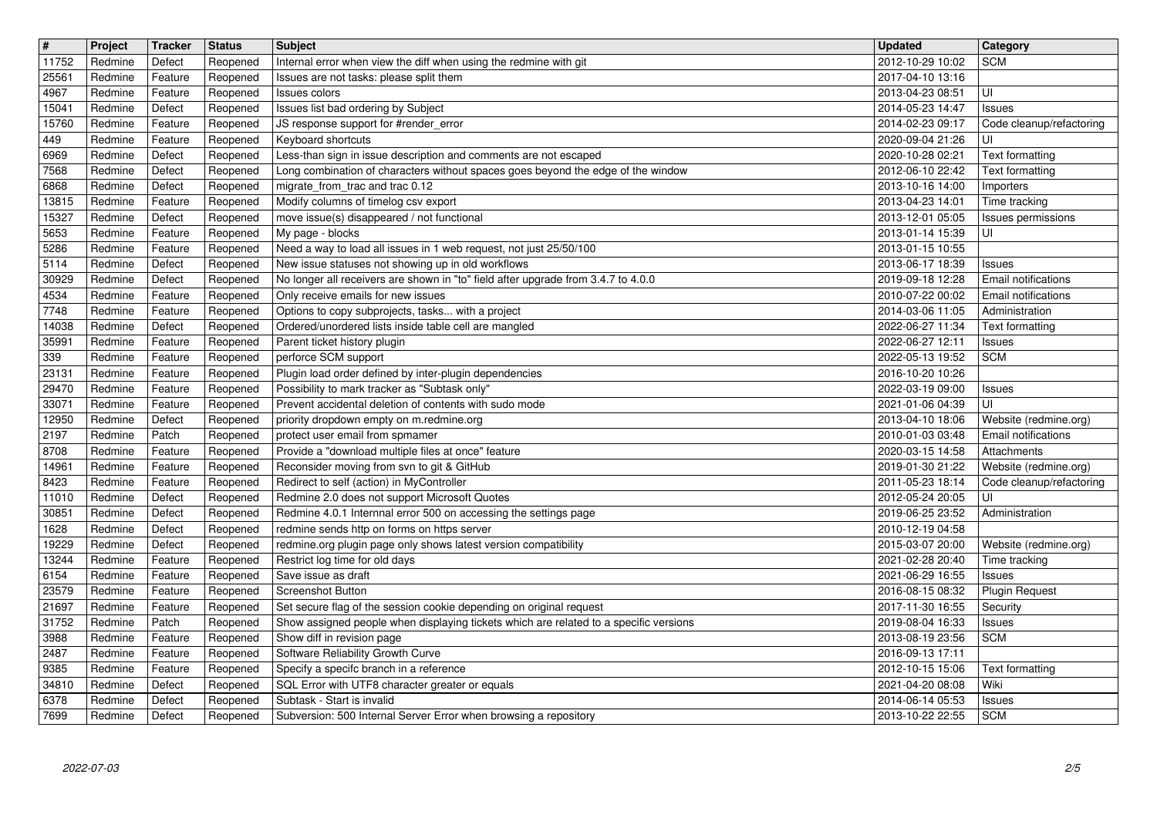| $\boxed{\texttt{#}}$<br>11752 | Project<br>Redmine | Tracker<br>Defect  | <b>Status</b><br>Reopened | <b>Subject</b><br>Internal error when view the diff when using the redmine with git                                                     | <b>Updated</b><br>2012-10-29 10:02   | <b>Category</b><br><b>SCM</b>        |
|-------------------------------|--------------------|--------------------|---------------------------|-----------------------------------------------------------------------------------------------------------------------------------------|--------------------------------------|--------------------------------------|
| 25561                         | Redmine            | Feature            | Reopened                  | Issues are not tasks: please split them                                                                                                 | 2017-04-10 13:16                     |                                      |
| 4967<br>15041                 | Redmine<br>Redmine | Feature<br>Defect  | Reopened<br>Reopened      | <b>Issues colors</b><br>Issues list bad ordering by Subject                                                                             | 2013-04-23 08:51<br>2014-05-23 14:47 | l UI<br>Issues                       |
| 15760                         | Redmine            | Feature            | Reopened                  | JS response support for #render_error                                                                                                   | 2014-02-23 09:17                     | Code cleanup/refactoring             |
| 449<br>6969                   | Redmine<br>Redmine | Feature<br>Defect  | Reopened<br>Reopened      | Keyboard shortcuts<br>Less-than sign in issue description and comments are not escaped                                                  | 2020-09-04 21:26<br>2020-10-28 02:21 | UI<br>Text formatting                |
| 7568                          | Redmine            | Defect             | Reopened                  | Long combination of characters without spaces goes beyond the edge of the window                                                        | 2012-06-10 22:42                     | Text formatting                      |
| 6868<br>13815                 | Redmine<br>Redmine | Defect<br>Feature  | Reopened<br>Reopened      | migrate_from_trac and trac 0.12<br>Modify columns of timelog csv export                                                                 | 2013-10-16 14:00<br>2013-04-23 14:01 | Importers<br>Time tracking           |
| 15327<br>5653                 | Redmine<br>Redmine | Defect<br>Feature  | Reopened<br>Reopened      | move issue(s) disappeared / not functional<br>My page - blocks                                                                          | 2013-12-01 05:05<br>2013-01-14 15:39 | Issues permissions<br>luı            |
| 5286                          | Redmine            | Feature            | Reopened                  | Need a way to load all issues in 1 web request, not just 25/50/100                                                                      | 2013-01-15 10:55                     |                                      |
| 5114<br>30929                 | Redmine<br>Redmine | Defect<br>Defect   | Reopened<br>Reopened      | New issue statuses not showing up in old workflows<br>No longer all receivers are shown in "to" field after upgrade from 3.4.7 to 4.0.0 | 2013-06-17 18:39<br>2019-09-18 12:28 | Issues<br>Email notifications        |
| 4534                          | Redmine            | Feature            | Reopened                  | Only receive emails for new issues                                                                                                      | 2010-07-22 00:02                     | Email notifications                  |
| 7748<br>14038                 | Redmine<br>Redmine | Feature<br>Defect  | Reopened<br>Reopened      | Options to copy subprojects, tasks with a project<br>Ordered/unordered lists inside table cell are mangled                              | 2014-03-06 11:05<br>2022-06-27 11:34 | Administration<br>Text formatting    |
| 35991                         | Redmine            | Feature            | Reopened                  | Parent ticket history plugin                                                                                                            | 2022-06-27 12:11                     | Issues                               |
| 339<br>23131                  | Redmine<br>Redmine | Feature<br>Feature | Reopened<br>Reopened      | perforce SCM support<br>Plugin load order defined by inter-plugin dependencies                                                          | 2022-05-13 19:52<br>2016-10-20 10:26 | <b>SCM</b>                           |
| 29470                         | Redmine            | Feature            | Reopened                  | Possibility to mark tracker as "Subtask only'                                                                                           | 2022-03-19 09:00                     | Issues                               |
| 33071<br>12950                | Redmine<br>Redmine | Feature<br>Defect  | Reopened<br>Reopened      | Prevent accidental deletion of contents with sudo mode<br>priority dropdown empty on m.redmine.org                                      | 2021-01-06 04:39<br>2013-04-10 18:06 | UI<br>Website (redmine.org)          |
| 2197                          | Redmine            | Patch              | Reopened                  | protect user email from spmamer                                                                                                         | 2010-01-03 03:48                     | Email notifications                  |
| 8708<br>14961                 | Redmine<br>Redmine | Feature<br>Feature | Reopened<br>Reopened      | Provide a "download multiple files at once" feature<br>Reconsider moving from svn to git & GitHub                                       | 2020-03-15 14:58<br>2019-01-30 21:22 | Attachments<br>Website (redmine.org) |
| 8423                          | Redmine<br>Redmine | Feature<br>Defect  | Reopened                  | Redirect to self (action) in MyController<br>Redmine 2.0 does not support Microsoft Quotes                                              | 2011-05-23 18:14<br>2012-05-24 20:05 | Code cleanup/refactoring<br>luı      |
| 11010<br>30851                | Redmine            | Defect             | Reopened<br>Reopened      | Redmine 4.0.1 Internnal error 500 on accessing the settings page                                                                        | 2019-06-25 23:52                     | Administration                       |
| 1628<br>19229                 | Redmine<br>Redmine | Defect<br>Defect   | Reopened<br>Reopened      | redmine sends http on forms on https server<br>redmine.org plugin page only shows latest version compatibility                          | 2010-12-19 04:58<br>2015-03-07 20:00 | Website (redmine.org)                |
| 13244                         | Redmine            | Feature            | Reopened                  | Restrict log time for old days                                                                                                          | 2021-02-28 20:40                     | Time tracking                        |
| 6154<br>23579                 | Redmine<br>Redmine | Feature<br>Feature | Reopened<br>Reopened      | Save issue as draft<br><b>Screenshot Button</b>                                                                                         | 2021-06-29 16:55<br>2016-08-15 08:32 | Issues<br><b>Plugin Request</b>      |
| 21697                         | Redmine            | Feature            | Reopened                  | Set secure flag of the session cookie depending on original request                                                                     | 2017-11-30 16:55                     | Security                             |
| 31752<br>3988                 | Redmine<br>Redmine | Patch<br>Feature   | Reopened<br>Reopened      | Show assigned people when displaying tickets which are related to a specific versions<br>Show diff in revision page                     | 2019-08-04 16:33<br>2013-08-19 23:56 | Issues<br><b>SCM</b>                 |
| 2487                          | Redmine            | Feature            | Reopened                  | Software Reliability Growth Curve                                                                                                       | 2016-09-13 17:11                     |                                      |
| 9385<br>34810                 | Redmine<br>Redmine | Feature<br>Defect  | Reopened<br>Reopened      | Specify a specifc branch in a reference<br>SQL Error with UTF8 character greater or equals                                              | 2012-10-15 15:06<br>2021-04-20 08:08 | Text formatting<br>Wiki              |
| 6378<br>7699                  | Redmine<br>Redmine | Defect<br>Defect   | Reopened<br>Reopened      | Subtask - Start is invalid<br>Subversion: 500 Internal Server Error when browsing a repository                                          | 2014-06-14 05:53<br>2013-10-22 22:55 | Issues<br><b>SCM</b>                 |
|                               |                    |                    |                           |                                                                                                                                         |                                      |                                      |
|                               |                    |                    |                           |                                                                                                                                         |                                      |                                      |
|                               |                    |                    |                           |                                                                                                                                         |                                      |                                      |
|                               |                    |                    |                           |                                                                                                                                         |                                      |                                      |
|                               |                    |                    |                           |                                                                                                                                         |                                      |                                      |
|                               |                    |                    |                           |                                                                                                                                         |                                      |                                      |
|                               |                    |                    |                           |                                                                                                                                         |                                      |                                      |
|                               |                    |                    |                           |                                                                                                                                         |                                      |                                      |
|                               |                    |                    |                           |                                                                                                                                         |                                      |                                      |
|                               |                    |                    |                           |                                                                                                                                         |                                      |                                      |
|                               |                    |                    |                           |                                                                                                                                         |                                      |                                      |
|                               |                    |                    |                           |                                                                                                                                         |                                      |                                      |
|                               |                    |                    |                           |                                                                                                                                         |                                      |                                      |
|                               |                    |                    |                           |                                                                                                                                         |                                      |                                      |
|                               |                    |                    |                           |                                                                                                                                         |                                      |                                      |
|                               |                    |                    |                           |                                                                                                                                         |                                      |                                      |
|                               |                    |                    |                           |                                                                                                                                         |                                      |                                      |
|                               |                    |                    |                           |                                                                                                                                         |                                      |                                      |
|                               |                    |                    |                           |                                                                                                                                         |                                      |                                      |
|                               |                    |                    |                           |                                                                                                                                         |                                      |                                      |
|                               |                    |                    |                           |                                                                                                                                         |                                      |                                      |
|                               |                    |                    |                           |                                                                                                                                         |                                      |                                      |
|                               |                    |                    |                           |                                                                                                                                         |                                      |                                      |
|                               |                    |                    |                           |                                                                                                                                         |                                      |                                      |
|                               |                    |                    |                           |                                                                                                                                         |                                      |                                      |
|                               |                    |                    |                           |                                                                                                                                         |                                      |                                      |
|                               |                    |                    |                           |                                                                                                                                         |                                      |                                      |
|                               |                    |                    |                           |                                                                                                                                         |                                      |                                      |
|                               |                    |                    |                           |                                                                                                                                         |                                      |                                      |
|                               |                    |                    |                           |                                                                                                                                         |                                      |                                      |
|                               |                    |                    |                           |                                                                                                                                         |                                      |                                      |
|                               |                    |                    |                           |                                                                                                                                         |                                      |                                      |
|                               |                    |                    |                           |                                                                                                                                         |                                      |                                      |
|                               |                    |                    |                           |                                                                                                                                         |                                      |                                      |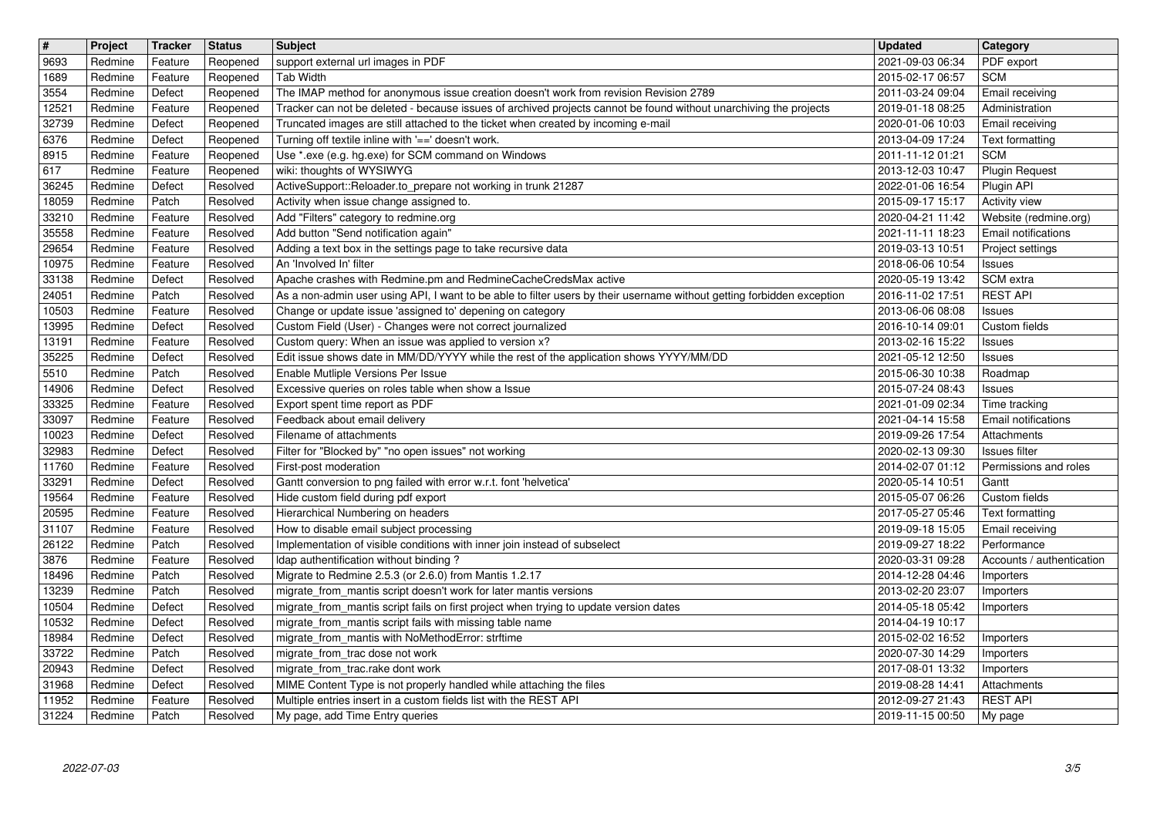| $\overline{\mathbf{t}}$ | Project            | Tracker            | <b>Status</b>        | <b>Subject</b>                                                                                                                                                                                         | <b>Updated</b>                                   | <b>Category</b>                              |
|-------------------------|--------------------|--------------------|----------------------|--------------------------------------------------------------------------------------------------------------------------------------------------------------------------------------------------------|--------------------------------------------------|----------------------------------------------|
| 9693<br>1689            | Redmine<br>Redmine | Feature<br>Feature | Reopened<br>Reopened | support external url images in PDF<br>Tab Width                                                                                                                                                        | 2021-09-03 06:34<br>2015-02-17 06:57             | PDF export<br><b>SCM</b>                     |
| 3554                    | Redmine            | Defect             | Reopened             | The IMAP method for anonymous issue creation doesn't work from revision Revision 2789                                                                                                                  | 2011-03-24 09:04                                 | Email receiving                              |
| 12521<br>32739          | Redmine<br>Redmine | Feature<br>Defect  | Reopened<br>Reopened | Tracker can not be deleted - because issues of archived projects cannot be found without unarchiving the projects<br>Truncated images are still attached to the ticket when created by incoming e-mail | 2019-01-18 08:25<br>2020-01-06 10:03             | Administration<br>Email receiving            |
| 6376                    | Redmine            | Defect             | Reopened             | Turning off textile inline with '==' doesn't work.                                                                                                                                                     | 2013-04-09 17:24                                 | Text formatting                              |
| 8915<br>617             | Redmine<br>Redmine | Feature<br>Feature | Reopened<br>Reopened | Use *.exe (e.g. hg.exe) for SCM command on Windows<br>wiki: thoughts of WYSIWYG                                                                                                                        | 2011-11-12 01:21<br>2013-12-03 10:47             | <b>SCM</b><br><b>Plugin Request</b>          |
| 36245                   | Redmine            | Defect             | Resolved             | ActiveSupport::Reloader.to_prepare not working in trunk 21287                                                                                                                                          | 2022-01-06 16:54                                 | Plugin API                                   |
| 18059                   | Redmine            | Patch              | Resolved             | Activity when issue change assigned to.                                                                                                                                                                | 2015-09-17 15:17                                 | Activity view                                |
| 33210<br>35558          | Redmine<br>Redmine | Feature<br>Feature | Resolved<br>Resolved | Add "Filters" category to redmine.org<br>Add button "Send notification again"                                                                                                                          | 2020-04-21 11:42<br>2021-11-11 18:23             | Website (redmine.org)<br>Email notifications |
| 29654                   | Redmine            | Feature            | Resolved             | Adding a text box in the settings page to take recursive data                                                                                                                                          | 2019-03-13 10:51                                 | Project settings                             |
| 10975<br>33138          | Redmine<br>Redmine | Feature<br>Defect  | Resolved<br>Resolved | An 'Involved In' filter<br>Apache crashes with Redmine.pm and RedmineCacheCredsMax active                                                                                                              | 2018-06-06 10:54<br>2020-05-19 13:42             | <b>Issues</b><br>SCM extra                   |
| 24051                   | Redmine            | Patch              | Resolved             | As a non-admin user using API, I want to be able to filter users by their username without getting forbidden exception                                                                                 | 2016-11-02 17:51                                 | <b>REST API</b>                              |
| 10503<br>13995          | Redmine<br>Redmine | Feature<br>Defect  | Resolved<br>Resolved | Change or update issue 'assigned to' depening on category<br>Custom Field (User) - Changes were not correct journalized                                                                                | 2013-06-06 08:08                                 | <b>Issues</b><br>Custom fields               |
| 13191                   | Redmine            | Feature            | Resolved             | Custom query: When an issue was applied to version x?                                                                                                                                                  | 2016-10-14 09:01<br>2013-02-16 15:22             | Issues                                       |
| 35225                   | Redmine            | Defect             | Resolved             | Edit issue shows date in MM/DD/YYYY while the rest of the application shows YYYY/MM/DD                                                                                                                 | 2021-05-12 12:50                                 | <b>Issues</b>                                |
| 5510<br>14906           | Redmine<br>Redmine | Patch<br>Defect    | Resolved<br>Resolved | Enable Mutliple Versions Per Issue<br>Excessive queries on roles table when show a Issue                                                                                                               | 2015-06-30 10:38<br>2015-07-24 08:43             | Roadmap<br><b>Issues</b>                     |
| 33325                   | Redmine            | Feature            | Resolved             | Export spent time report as PDF                                                                                                                                                                        | 2021-01-09 02:34                                 | Time tracking                                |
| 33097<br>10023          | Redmine<br>Redmine | Feature<br>Defect  | Resolved<br>Resolved | Feedback about email delivery<br>Filename of attachments                                                                                                                                               | 2021-04-14 15:58<br>2019-09-26 17:54             | <b>Email notifications</b><br>Attachments    |
| 32983                   | Redmine            | Defect             | Resolved             | Filter for "Blocked by" "no open issues" not working                                                                                                                                                   | 2020-02-13 09:30                                 | Issues filter                                |
| 11760<br>33291          | Redmine<br>Redmine | Feature<br>Defect  | Resolved<br>Resolved | First-post moderation<br>Gantt conversion to png failed with error w.r.t. font 'helvetica'                                                                                                             | 2014-02-07 01:12<br>2020-05-14 10:51             | Permissions and roles<br>Gantt               |
| 19564                   | Redmine            | Feature            | Resolved             | Hide custom field during pdf export                                                                                                                                                                    | 2015-05-07 06:26                                 | Custom fields                                |
| 20595                   | Redmine            | Feature            | Resolved             | Hierarchical Numbering on headers                                                                                                                                                                      | 2017-05-27 05:46                                 | Text formatting                              |
| 31107<br>26122          | Redmine<br>Redmine | Feature<br>Patch   | Resolved<br>Resolved | How to disable email subject processing<br>Implementation of visible conditions with inner join instead of subselect                                                                                   | 2019-09-18 15:05<br>2019-09-27 18:22             | Email receiving<br>Performance               |
| 3876                    | Redmine            | Feature            | Resolved             | Idap authentification without binding?                                                                                                                                                                 | 2020-03-31 09:28                                 | Accounts / authentication                    |
| 18496<br>13239          | Redmine<br>Redmine | Patch<br>Patch     | Resolved<br>Resolved | Migrate to Redmine 2.5.3 (or 2.6.0) from Mantis 1.2.17<br>migrate_from_mantis script doesn't work for later mantis versions                                                                            | 2014-12-28 04:46<br>2013-02-20 23:07             | Importers<br>Importers                       |
| 10504                   | Redmine            | Defect             | Resolved             | migrate_from_mantis script fails on first project when trying to update version dates                                                                                                                  | 2014-05-18 05:42                                 | Importers                                    |
| 10532                   | Redmine            | Defect             | Resolved             | migrate_from_mantis script fails with missing table name                                                                                                                                               | 2014-04-19 10:17                                 |                                              |
| 18984<br>33722          | Redmine<br>Redmine | Defect<br>Patch    | Resolved<br>Resolved | migrate_from_mantis with NoMethodError: strftime<br>migrate_from_trac dose not work                                                                                                                    | 2015-02-02 16:52<br>2020-07-30 14:29   Importers | Importers                                    |
| 20943                   | Redmine            | Defect             | Resolved             | migrate_from_trac.rake dont work                                                                                                                                                                       | 2017-08-01 13:32                                 | Importers                                    |
| 31968<br>11952          | Redmine<br>Redmine | Defect<br>Feature  | Resolved<br>Resolved | MIME Content Type is not properly handled while attaching the files<br>Multiple entries insert in a custom fields list with the REST API                                                               | 2019-08-28 14:41<br>2012-09-27 21:43             | Attachments<br><b>REST API</b>               |
| 31224                   | Redmine            | Patch              | Resolved             | My page, add Time Entry queries                                                                                                                                                                        | 2019-11-15 00:50                                 | My page                                      |
|                         |                    |                    |                      |                                                                                                                                                                                                        |                                                  |                                              |
|                         |                    |                    |                      |                                                                                                                                                                                                        |                                                  |                                              |
|                         |                    |                    |                      |                                                                                                                                                                                                        |                                                  |                                              |
|                         |                    |                    |                      |                                                                                                                                                                                                        |                                                  |                                              |
|                         |                    |                    |                      |                                                                                                                                                                                                        |                                                  |                                              |
|                         |                    |                    |                      |                                                                                                                                                                                                        |                                                  |                                              |
|                         |                    |                    |                      |                                                                                                                                                                                                        |                                                  |                                              |
|                         |                    |                    |                      |                                                                                                                                                                                                        |                                                  |                                              |
|                         |                    |                    |                      |                                                                                                                                                                                                        |                                                  |                                              |
|                         |                    |                    |                      |                                                                                                                                                                                                        |                                                  |                                              |
|                         |                    |                    |                      |                                                                                                                                                                                                        |                                                  |                                              |
|                         |                    |                    |                      |                                                                                                                                                                                                        |                                                  |                                              |
|                         |                    |                    |                      |                                                                                                                                                                                                        |                                                  |                                              |
|                         |                    |                    |                      |                                                                                                                                                                                                        |                                                  |                                              |
|                         |                    |                    |                      |                                                                                                                                                                                                        |                                                  |                                              |
|                         |                    |                    |                      |                                                                                                                                                                                                        |                                                  |                                              |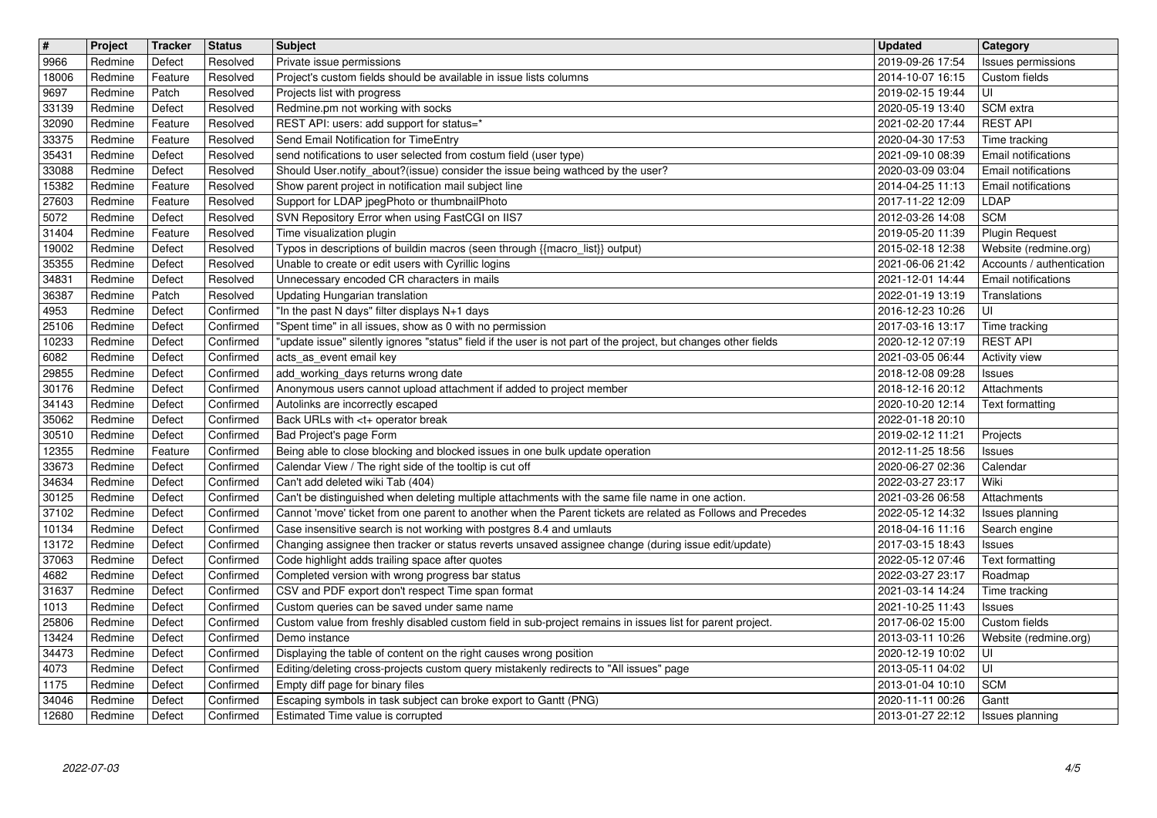|                | Project            | <b>Tracker</b>    | <b>Status</b>          | <b>Subject</b>                                                                                                                                               | <b>Updated</b>                       | <b>Category</b>                                    |
|----------------|--------------------|-------------------|------------------------|--------------------------------------------------------------------------------------------------------------------------------------------------------------|--------------------------------------|----------------------------------------------------|
| 9966           | Redmine            | Defect            | Resolved               | Private issue permissions                                                                                                                                    | 2019-09-26 17:54                     | Issues permissions                                 |
| 18006<br>9697  | Redmine<br>Redmine | Feature<br>Patch  | Resolved<br>Resolved   | Project's custom fields should be available in issue lists columns<br>Projects list with progress                                                            | 2014-10-07 16:15<br>2019-02-15 19:44 | Custom fields<br>l UI                              |
| 33139          | Redmine            | Defect            | Resolved               | Redmine.pm not working with socks                                                                                                                            | 2020-05-19 13:40                     | SCM extra                                          |
| 32090          | Redmine            | Feature           | Resolved               | REST API: users: add support for status=*                                                                                                                    | 2021-02-20 17:44                     | <b>REST API</b>                                    |
| 33375          | Redmine            | Feature           | Resolved               | Send Email Notification for TimeEntry                                                                                                                        | 2020-04-30 17:53                     | Time tracking                                      |
| 35431<br>33088 | Redmine<br>Redmine | Defect<br>Defect  | Resolved<br>Resolved   | send notifications to user selected from costum field (user type)<br>Should User.notify_about?(issue) consider the issue being wathced by the user?          | 2021-09-10 08:39<br>2020-03-09 03:04 | <b>Email notifications</b><br>Email notifications  |
| 15382          | Redmine            | Feature           | Resolved               | Show parent project in notification mail subject line                                                                                                        | 2014-04-25 11:13                     | Email notifications                                |
| 27603          | Redmine            | Feature           | Resolved               | Support for LDAP jpegPhoto or thumbnailPhoto                                                                                                                 | 2017-11-22 12:09                     | LDAP                                               |
| 5072           | Redmine            | Defect            | Resolved               | SVN Repository Error when using FastCGI on IIS7                                                                                                              | 2012-03-26 14:08                     | <b>SCM</b>                                         |
| 31404          | Redmine            | Feature           | Resolved               | Time visualization plugin                                                                                                                                    | 2019-05-20 11:39                     | Plugin Request                                     |
| 19002<br>35355 | Redmine<br>Redmine | Defect<br>Defect  | Resolved<br>Resolved   | Typos in descriptions of buildin macros (seen through {{macro_list}} output)<br>Unable to create or edit users with Cyrillic logins                          | 2015-02-18 12:38<br>2021-06-06 21:42 | Website (redmine.org)<br>Accounts / authentication |
| 34831          | Redmine            | Defect            | Resolved               | Unnecessary encoded CR characters in mails                                                                                                                   | 2021-12-01 14:44                     | Email notifications                                |
| 36387          | Redmine            | Patch             | Resolved               | Updating Hungarian translation                                                                                                                               | 2022-01-19 13:19                     | Translations                                       |
| 4953           | Redmine            | Defect            | Confirmed              | "In the past N days" filter displays N+1 days                                                                                                                | 2016-12-23 10:26                     | UI                                                 |
| 25106          | Redmine            | Defect            | Confirmed              | "Spent time" in all issues, show as 0 with no permission                                                                                                     | 2017-03-16 13:17                     | Time tracking                                      |
| 10233<br>6082  | Redmine<br>Redmine | Defect<br>Defect  | Confirmed<br>Confirmed | "update issue" silently ignores "status" field if the user is not part of the project, but changes other fields<br>acts_as_event email key                   | 2020-12-12 07:19<br>2021-03-05 06:44 | <b>REST API</b><br>Activity view                   |
| 29855          | Redmine            | Defect            | Confirmed              | add_working_days returns wrong date                                                                                                                          | 2018-12-08 09:28                     | Issues                                             |
| 30176          | Redmine            | Defect            | Confirmed              | Anonymous users cannot upload attachment if added to project member                                                                                          | 2018-12-16 20:12                     | Attachments                                        |
| 34143          | Redmine            | Defect            | Confirmed              | Autolinks are incorrectly escaped                                                                                                                            | 2020-10-20 12:14                     | Text formatting                                    |
| 35062          | Redmine            | Defect            | Confirmed              | Back URLs with <t+ break<="" operator="" td=""><td>2022-01-18 20:10</td><td></td></t+>                                                                       | 2022-01-18 20:10                     |                                                    |
| 30510<br>12355 | Redmine<br>Redmine | Defect<br>Feature | Confirmed<br>Confirmed | Bad Project's page Form<br>Being able to close blocking and blocked issues in one bulk update operation                                                      | 2019-02-12 11:21<br>2012-11-25 18:56 | Projects<br>Issues                                 |
| 33673          | Redmine            | Defect            | Confirmed              | Calendar View / The right side of the tooltip is cut off                                                                                                     | 2020-06-27 02:36                     | Calendar                                           |
| 34634          | Redmine            | Defect            | Confirmed              | Can't add deleted wiki Tab (404)                                                                                                                             | 2022-03-27 23:17                     | Wiki                                               |
| 30125          | Redmine            | Defect            | Confirmed              | Can't be distinguished when deleting multiple attachments with the same file name in one action.                                                             | 2021-03-26 06:58                     | Attachments                                        |
| 37102          | Redmine            | Defect            | Confirmed              | Cannot 'move' ticket from one parent to another when the Parent tickets are related as Follows and Precedes                                                  | 2022-05-12 14:32                     | Issues planning                                    |
| 10134          | Redmine            | Defect            | Confirmed              | Case insensitive search is not working with postgres 8.4 and umlauts                                                                                         | 2018-04-16 11:16                     | Search engine                                      |
| 13172<br>37063 | Redmine<br>Redmine | Defect<br>Defect  | Confirmed<br>Confirmed | Changing assignee then tracker or status reverts unsaved assignee change (during issue edit/update)<br>Code highlight adds trailing space after quotes       | 2017-03-15 18:43<br>2022-05-12 07:46 | Issues<br>Text formatting                          |
| 4682           | Redmine            | Defect            | Confirmed              | Completed version with wrong progress bar status                                                                                                             | 2022-03-27 23:17                     | Roadmap                                            |
| 31637          | Redmine            | Defect            | Confirmed              | CSV and PDF export don't respect Time span format                                                                                                            | 2021-03-14 14:24                     | Time tracking                                      |
| 1013           | Redmine            | Defect            | Confirmed              | Custom queries can be saved under same name                                                                                                                  | 2021-10-25 11:43                     | Issues                                             |
| 25806          | Redmine            | Defect            | Confirmed              | Custom value from freshly disabled custom field in sub-project remains in issues list for parent project.                                                    | 2017-06-02 15:00                     | Custom fields                                      |
| 13424          | Redmine            | Defect            | Confirmed              | Demo instance                                                                                                                                                | 2013-03-11 10:26                     | Website (redmine.org)                              |
| 34473<br>4073  | Redmine<br>Redmine | Defect<br>Defect  | Confirmed<br>Confirmed | Displaying the table of content on the right causes wrong position<br>Editing/deleting cross-projects custom query mistakenly redirects to "All issues" page | 2020-12-19 10:02<br>2013-05-11 04:02 | U <br>∣∪ı                                          |
| 1175           | Redmine            | Defect            | Confirmed              | Empty diff page for binary files                                                                                                                             | 2013-01-04 10:10                     | <b>SCM</b>                                         |
| 34046          | Redmine            | Defect            | Confirmed              | Escaping symbols in task subject can broke export to Gantt (PNG)                                                                                             | 2020-11-11 00:26                     | Gantt                                              |
|                | 2022-07-03         |                   |                        |                                                                                                                                                              |                                      | 4/5                                                |
|                |                    |                   |                        |                                                                                                                                                              |                                      |                                                    |
|                |                    |                   |                        |                                                                                                                                                              |                                      |                                                    |
|                |                    |                   |                        |                                                                                                                                                              |                                      |                                                    |